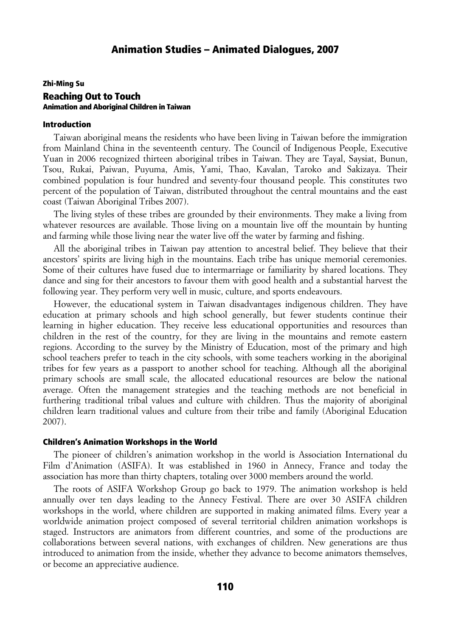### Zhi-Ming Su Reaching Out to Touch Animation and Aboriginal Children in Taiwan

#### Introduction

Taiwan aboriginal means the residents who have been living in Taiwan before the immigration from Mainland China in the seventeenth century. The Council of Indigenous People, Executive Yuan in 2006 recognized thirteen aboriginal tribes in Taiwan. They are Tayal, Saysiat, Bunun, Tsou, Rukai, Paiwan, Puyuma, Amis, Yami, Thao, Kavalan, Taroko and Sakizaya. Their combined population is four hundred and seventy-four thousand people. This constitutes two percent of the population of Taiwan, distributed throughout the central mountains and the east coast (Taiwan Aboriginal Tribes 2007).

The living styles of these tribes are grounded by their environments. They make a living from whatever resources are available. Those living on a mountain live off the mountain by hunting and farming while those living near the water live off the water by farming and fishing.

All the aboriginal tribes in Taiwan pay attention to ancestral belief. They believe that their ancestors' spirits are living high in the mountains. Each tribe has unique memorial ceremonies. Some of their cultures have fused due to intermarriage or familiarity by shared locations. They dance and sing for their ancestors to favour them with good health and a substantial harvest the following year. They perform very well in music, culture, and sports endeavours.

However, the educational system in Taiwan disadvantages indigenous children. They have education at primary schools and high school generally, but fewer students continue their learning in higher education. They receive less educational opportunities and resources than children in the rest of the country, for they are living in the mountains and remote eastern regions. According to the survey by the Ministry of Education, most of the primary and high school teachers prefer to teach in the city schools, with some teachers working in the aboriginal tribes for few years as a passport to another school for teaching. Although all the aboriginal primary schools are small scale, the allocated educational resources are below the national average. Often the management strategies and the teaching methods are not beneficial in furthering traditional tribal values and culture with children. Thus the majority of aboriginal children learn traditional values and culture from their tribe and family (Aboriginal Education 2007).

#### Children's Animation Workshops in the World

The pioneer of children's animation workshop in the world is Association International du Film d'Animation (ASIFA). It was established in 1960 in Annecy, France and today the association has more than thirty chapters, totaling over 3000 members around the world.

The roots of ASIFA Workshop Group go back to 1979. The animation workshop is held annually over ten days leading to the Annecy Festival. There are over 30 ASIFA children workshops in the world, where children are supported in making animated films. Every year a worldwide animation project composed of several territorial children animation workshops is staged. Instructors are animators from different countries, and some of the productions are collaborations between several nations, with exchanges of children. New generations are thus introduced to animation from the inside, whether they advance to become animators themselves, or become an appreciative audience.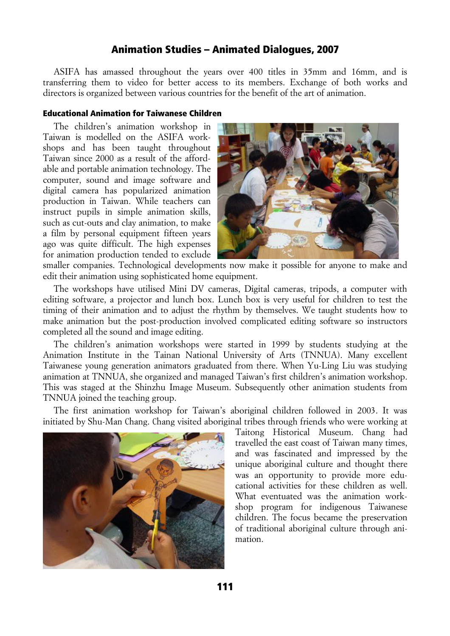ASIFA has amassed throughout the years over 400 titles in 35mm and 16mm, and is transferring them to video for better access to its members. Exchange of both works and directors is organized between various countries for the benefit of the art of animation.

#### Educational Animation for Taiwanese Children

The children's animation workshop in Taiwan is modelled on the ASIFA workshops and has been taught throughout Taiwan since 2000 as a result of the affordable and portable animation technology. The computer, sound and image software and digital camera has popularized animation production in Taiwan. While teachers can instruct pupils in simple animation skills, such as cut-outs and clay animation, to make a film by personal equipment fifteen years ago was quite difficult. The high expenses for animation production tended to exclude



smaller companies. Technological developments now make it possible for anyone to make and edit their animation using sophisticated home equipment.

The workshops have utilised Mini DV cameras, Digital cameras, tripods, a computer with editing software, a projector and lunch box. Lunch box is very useful for children to test the timing of their animation and to adjust the rhythm by themselves. We taught students how to make animation but the post-production involved complicated editing software so instructors completed all the sound and image editing.

The children's animation workshops were started in 1999 by students studying at the Animation Institute in the Tainan National University of Arts (TNNUA). Many excellent Taiwanese young generation animators graduated from there. When Yu-Ling Liu was studying animation at TNNUA, she organized and managed Taiwan's first children's animation workshop. This was staged at the Shinzhu Image Museum. Subsequently other animation students from TNNUA joined the teaching group.

The first animation workshop for Taiwan's aboriginal children followed in 2003. It was initiated by Shu-Man Chang. Chang visited aboriginal tribes through friends who were working at



Taitong Historical Museum. Chang had travelled the east coast of Taiwan many times, and was fascinated and impressed by the unique aboriginal culture and thought there was an opportunity to provide more educational activities for these children as well. What eventuated was the animation workshop program for indigenous Taiwanese children. The focus became the preservation of traditional aboriginal culture through animation.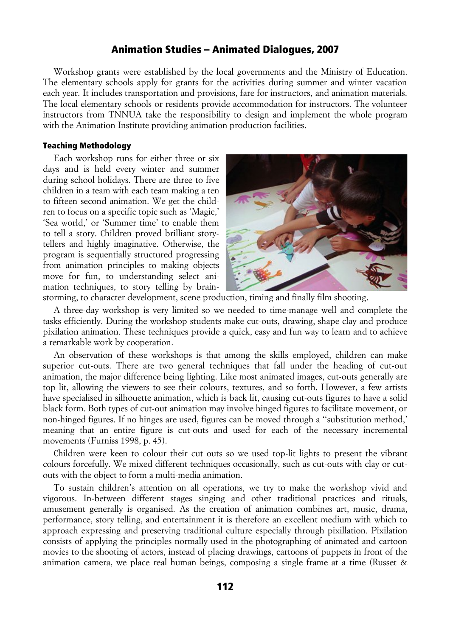Workshop grants were established by the local governments and the Ministry of Education. The elementary schools apply for grants for the activities during summer and winter vacation each year. It includes transportation and provisions, fare for instructors, and animation materials. The local elementary schools or residents provide accommodation for instructors. The volunteer instructors from TNNUA take the responsibility to design and implement the whole program with the Animation Institute providing animation production facilities.

#### Teaching Methodology

Each workshop runs for either three or six days and is held every winter and summer during school holidays. There are three to five children in a team with each team making a ten to fifteen second animation. We get the children to focus on a specific topic such as 'Magic,' 'Sea world,' or 'Summer time' to enable them to tell a story. Children proved brilliant storytellers and highly imaginative. Otherwise, the program is sequentially structured progressing from animation principles to making objects move for fun, to understanding select animation techniques, to story telling by brain-



storming, to character development, scene production, timing and finally film shooting.

A three-day workshop is very limited so we needed to time-manage well and complete the tasks efficiently. During the workshop students make cut-outs, drawing, shape clay and produce pixilation animation. These techniques provide a quick, easy and fun way to learn and to achieve a remarkable work by cooperation.

An observation of these workshops is that among the skills employed, children can make superior cut-outs. There are two general techniques that fall under the heading of cut-out animation, the major difference being lighting. Like most animated images, cut-outs generally are top lit, allowing the viewers to see their colours, textures, and so forth. However, a few artists have specialised in silhouette animation, which is back lit, causing cut-outs figures to have a solid black form. Both types of cut-out animation may involve hinged figures to facilitate movement, or non-hinged figures. If no hinges are used, figures can be moved through a ''substitution method,' meaning that an entire figure is cut-outs and used for each of the necessary incremental movements (Furniss 1998, p. 45).

Children were keen to colour their cut outs so we used top-lit lights to present the vibrant colours forcefully. We mixed different techniques occasionally, such as cut-outs with clay or cutouts with the object to form a multi-media animation.

To sustain children's attention on all operations, we try to make the workshop vivid and vigorous. In-between different stages singing and other traditional practices and rituals, amusement generally is organised. As the creation of animation combines art, music, drama, performance, story telling, and entertainment it is therefore an excellent medium with which to approach expressing and preserving traditional culture especially through pixillation. Pixilation consists of applying the principles normally used in the photographing of animated and cartoon movies to the shooting of actors, instead of placing drawings, cartoons of puppets in front of the animation camera, we place real human beings, composing a single frame at a time (Russet &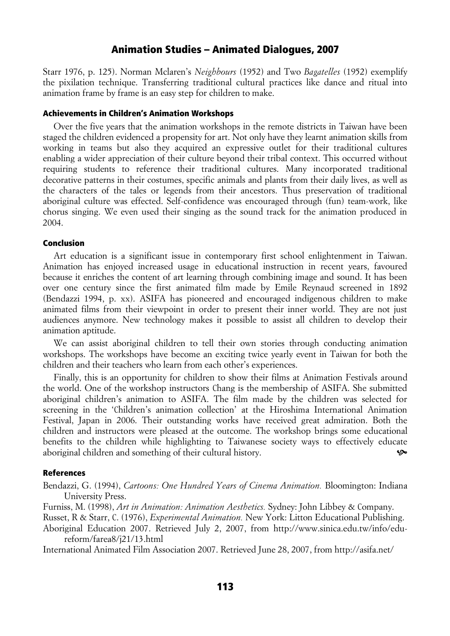Starr 1976, p. 125). Norman Mclaren's *Neighbours* (1952) and Two *Bagatelles* (1952) exemplify the pixilation technique. Transferring traditional cultural practices like dance and ritual into animation frame by frame is an easy step for children to make.

#### Achievements in Children's Animation Workshops

Over the five years that the animation workshops in the remote districts in Taiwan have been staged the children evidenced a propensity for art. Not only have they learnt animation skills from working in teams but also they acquired an expressive outlet for their traditional cultures enabling a wider appreciation of their culture beyond their tribal context. This occurred without requiring students to reference their traditional cultures. Many incorporated traditional decorative patterns in their costumes, specific animals and plants from their daily lives, as well as the characters of the tales or legends from their ancestors. Thus preservation of traditional aboriginal culture was effected. Self-confidence was encouraged through (fun) team-work, like chorus singing. We even used their singing as the sound track for the animation produced in 2004.

#### Conclusion

Art education is a significant issue in contemporary first school enlightenment in Taiwan. Animation has enjoyed increased usage in educational instruction in recent years, favoured because it enriches the content of art learning through combining image and sound. It has been over one century since the first animated film made by Emile Reynaud screened in 1892 (Bendazzi 1994, p. xx). ASIFA has pioneered and encouraged indigenous children to make animated films from their viewpoint in order to present their inner world. They are not just audiences anymore. New technology makes it possible to assist all children to develop their animation aptitude.

We can assist aboriginal children to tell their own stories through conducting animation workshops. The workshops have become an exciting twice yearly event in Taiwan for both the children and their teachers who learn from each other's experiences.

Finally, this is an opportunity for children to show their films at Animation Festivals around the world. One of the workshop instructors Chang is the membership of ASIFA. She submitted aboriginal children's animation to ASIFA. The film made by the children was selected for screening in the 'Children's animation collection' at the Hiroshima International Animation Festival, Japan in 2006. Their outstanding works have received great admiration. Both the children and instructors were pleased at the outcome. The workshop brings some educational benefits to the children while highlighting to Taiwanese society ways to effectively educate aboriginal children and something of their cultural history.

#### References

Bendazzi, G. (1994), *Cartoons: One Hundred Years of Cinema Animation.* Bloomington: Indiana University Press.

Furniss, M. (1998), *Art in Animation: Animation Aesthetics.* Sydney: John Libbey & Company.

Russet, R & Starr, C. (1976), *Experimental Animation.* New York: Litton Educational Publishing.

Aboriginal Education 2007. Retrieved July 2, 2007, from http://www.sinica.edu.tw/info/edureform/farea8/j21/13.html

International Animated Film Association 2007. Retrieved June 28, 2007, from http://asifa.net/